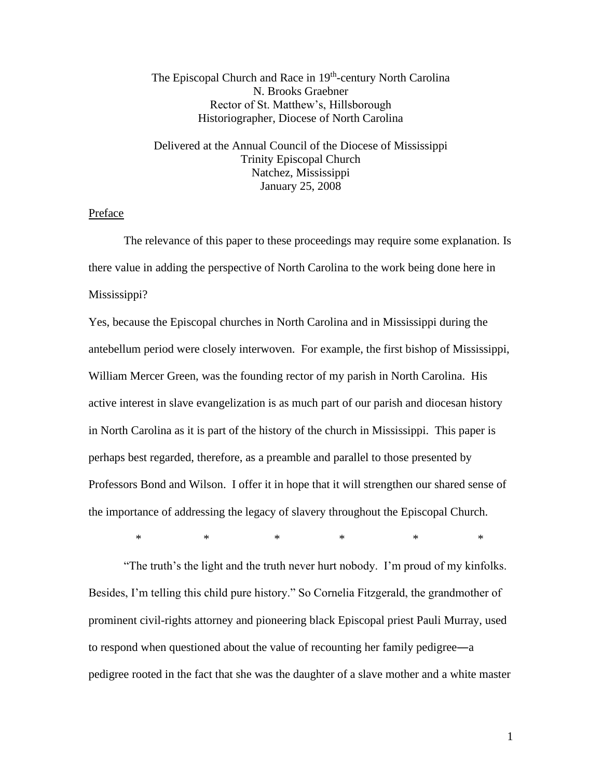## The Episcopal Church and Race in 19<sup>th</sup>-century North Carolina N. Brooks Graebner Rector of St. Matthew's, Hillsborough Historiographer, Diocese of North Carolina

Delivered at the Annual Council of the Diocese of Mississippi Trinity Episcopal Church Natchez, Mississippi January 25, 2008

## Preface

The relevance of this paper to these proceedings may require some explanation. Is there value in adding the perspective of North Carolina to the work being done here in Mississippi?

Yes, because the Episcopal churches in North Carolina and in Mississippi during the antebellum period were closely interwoven. For example, the first bishop of Mississippi, William Mercer Green, was the founding rector of my parish in North Carolina. His active interest in slave evangelization is as much part of our parish and diocesan history in North Carolina as it is part of the history of the church in Mississippi. This paper is perhaps best regarded, therefore, as a preamble and parallel to those presented by Professors Bond and Wilson. I offer it in hope that it will strengthen our shared sense of the importance of addressing the legacy of slavery throughout the Episcopal Church.

 $\begin{matrix} * & * & * \ * & * & * \end{matrix}$ 

"The truth's the light and the truth never hurt nobody. I'm proud of my kinfolks. Besides, I'm telling this child pure history." So Cornelia Fitzgerald, the grandmother of prominent civil-rights attorney and pioneering black Episcopal priest Pauli Murray, used to respond when questioned about the value of recounting her family pedigree―a pedigree rooted in the fact that she was the daughter of a slave mother and a white master

1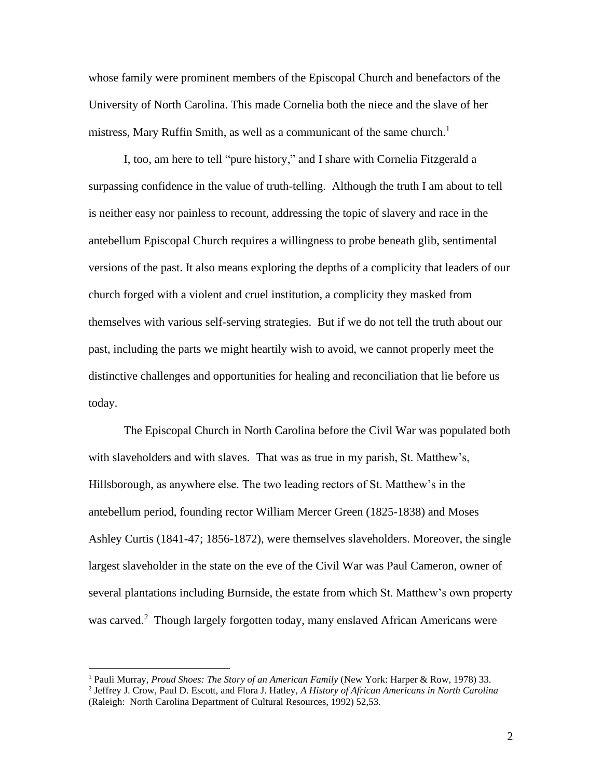whose family were prominent members of the Episcopal Church and benefactors of the University of North Carolina. This made Cornelia both the niece and the slave of her mistress, Mary Ruffin Smith, as well as a communicant of the same church.<sup>1</sup>

I, too, am here to tell "pure history," and I share with Cornelia Fitzgerald a surpassing confidence in the value of truth-telling. Although the truth I am about to tell is neither easy nor painless to recount, addressing the topic of slavery and race in the antebellum Episcopal Church requires a willingness to probe beneath glib, sentimental versions of the past. It also means exploring the depths of a complicity that leaders of our church forged with a violent and cruel institution, a complicity they masked from themselves with various self-serving strategies. But if we do not tell the truth about our past, including the parts we might heartily wish to avoid, we cannot properly meet the distinctive challenges and opportunities for healing and reconciliation that lie before us today.

The Episcopal Church in North Carolina before the Civil War was populated both with slaveholders and with slaves. That was as true in my parish, St. Matthew's, Hillsborough, as anywhere else. The two leading rectors of St. Matthew's in the antebellum period, founding rector William Mercer Green (1825-1838) and Moses Ashley Curtis (1841-47; 1856-1872), were themselves slaveholders. Moreover, the single largest slaveholder in the state on the eve of the Civil War was Paul Cameron, owner of several plantations including Burnside, the estate from which St. Matthew's own property was carved.<sup>2</sup> Though largely forgotten today, many enslaved African Americans were

<sup>1</sup> Pauli Murray, *Proud Shoes: The Story of an American Family* (New York: Harper & Row, 1978) 33.

<sup>2</sup> Jeffrey J. Crow, Paul D. Escott, and Flora J. Hatley, *A History of African Americans in North Carolina*  (Raleigh: North Carolina Department of Cultural Resources, 1992) 52,53.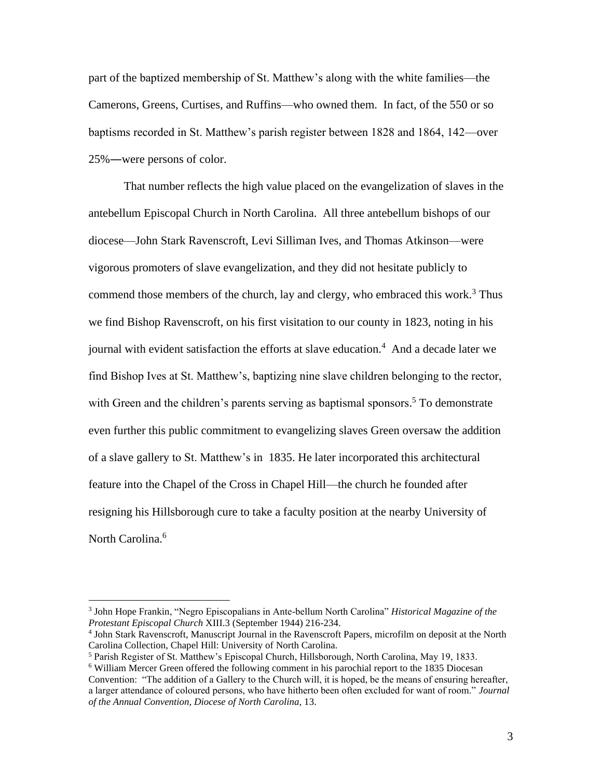part of the baptized membership of St. Matthew's along with the white families—the Camerons, Greens, Curtises, and Ruffins—who owned them. In fact, of the 550 or so baptisms recorded in St. Matthew's parish register between 1828 and 1864, 142—over 25%―were persons of color.

That number reflects the high value placed on the evangelization of slaves in the antebellum Episcopal Church in North Carolina. All three antebellum bishops of our diocese—John Stark Ravenscroft, Levi Silliman Ives, and Thomas Atkinson—were vigorous promoters of slave evangelization, and they did not hesitate publicly to commend those members of the church, lay and clergy, who embraced this work.<sup>3</sup> Thus we find Bishop Ravenscroft, on his first visitation to our county in 1823, noting in his journal with evident satisfaction the efforts at slave education.<sup>4</sup> And a decade later we find Bishop Ives at St. Matthew's, baptizing nine slave children belonging to the rector, with Green and the children's parents serving as baptismal sponsors.<sup>5</sup> To demonstrate even further this public commitment to evangelizing slaves Green oversaw the addition of a slave gallery to St. Matthew's in 1835. He later incorporated this architectural feature into the Chapel of the Cross in Chapel Hill—the church he founded after resigning his Hillsborough cure to take a faculty position at the nearby University of North Carolina.<sup>6</sup>

<sup>3</sup> John Hope Frankin, "Negro Episcopalians in Ante-bellum North Carolina" *Historical Magazine of the Protestant Episcopal Church* XIII.3 (September 1944) 216-234.

<sup>4</sup> John Stark Ravenscroft, Manuscript Journal in the Ravenscroft Papers, microfilm on deposit at the North Carolina Collection, Chapel Hill: University of North Carolina.

<sup>5</sup> Parish Register of St. Matthew's Episcopal Church, Hillsborough, North Carolina, May 19, 1833.

<sup>&</sup>lt;sup>6</sup> William Mercer Green offered the following comment in his parochial report to the 1835 Diocesan Convention: "The addition of a Gallery to the Church will, it is hoped, be the means of ensuring hereafter, a larger attendance of coloured persons, who have hitherto been often excluded for want of room." *Journal of the Annual Convention, Diocese of North Carolina,* 13.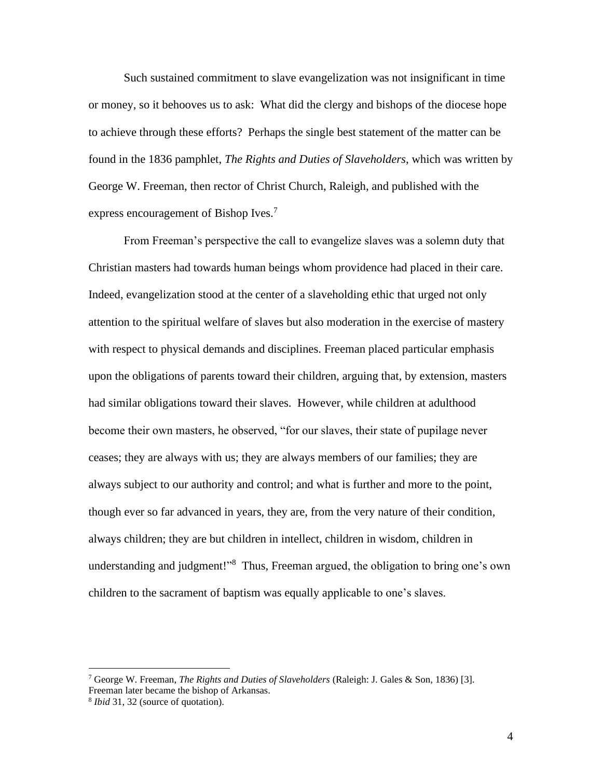Such sustained commitment to slave evangelization was not insignificant in time or money, so it behooves us to ask: What did the clergy and bishops of the diocese hope to achieve through these efforts? Perhaps the single best statement of the matter can be found in the 1836 pamphlet, *The Rights and Duties of Slaveholders*, which was written by George W. Freeman, then rector of Christ Church, Raleigh, and published with the express encouragement of Bishop Ives.<sup>7</sup>

From Freeman's perspective the call to evangelize slaves was a solemn duty that Christian masters had towards human beings whom providence had placed in their care. Indeed, evangelization stood at the center of a slaveholding ethic that urged not only attention to the spiritual welfare of slaves but also moderation in the exercise of mastery with respect to physical demands and disciplines. Freeman placed particular emphasis upon the obligations of parents toward their children, arguing that, by extension, masters had similar obligations toward their slaves. However, while children at adulthood become their own masters, he observed, "for our slaves, their state of pupilage never ceases; they are always with us; they are always members of our families; they are always subject to our authority and control; and what is further and more to the point, though ever so far advanced in years, they are, from the very nature of their condition, always children; they are but children in intellect, children in wisdom, children in understanding and judgment!"<sup>8</sup> Thus, Freeman argued, the obligation to bring one's own children to the sacrament of baptism was equally applicable to one's slaves.

<sup>7</sup> George W. Freeman, *The Rights and Duties of Slaveholders* (Raleigh: J. Gales & Son, 1836) [3]. Freeman later became the bishop of Arkansas.

<sup>8</sup> *Ibid* 31, 32 (source of quotation).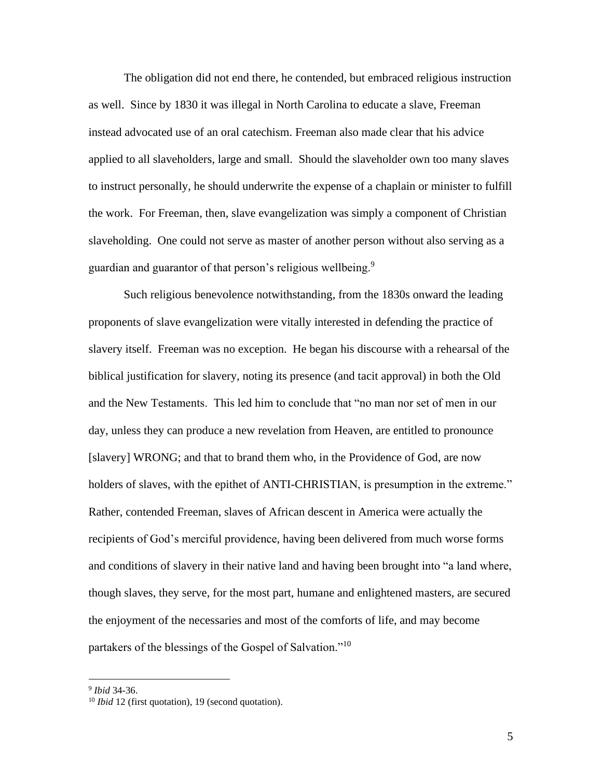The obligation did not end there, he contended, but embraced religious instruction as well. Since by 1830 it was illegal in North Carolina to educate a slave, Freeman instead advocated use of an oral catechism. Freeman also made clear that his advice applied to all slaveholders, large and small. Should the slaveholder own too many slaves to instruct personally, he should underwrite the expense of a chaplain or minister to fulfill the work. For Freeman, then, slave evangelization was simply a component of Christian slaveholding. One could not serve as master of another person without also serving as a guardian and guarantor of that person's religious wellbeing.<sup>9</sup>

Such religious benevolence notwithstanding, from the 1830s onward the leading proponents of slave evangelization were vitally interested in defending the practice of slavery itself. Freeman was no exception. He began his discourse with a rehearsal of the biblical justification for slavery, noting its presence (and tacit approval) in both the Old and the New Testaments. This led him to conclude that "no man nor set of men in our day, unless they can produce a new revelation from Heaven, are entitled to pronounce [slavery] WRONG; and that to brand them who, in the Providence of God, are now holders of slaves, with the epithet of ANTI-CHRISTIAN, is presumption in the extreme." Rather, contended Freeman, slaves of African descent in America were actually the recipients of God's merciful providence, having been delivered from much worse forms and conditions of slavery in their native land and having been brought into "a land where, though slaves, they serve, for the most part, humane and enlightened masters, are secured the enjoyment of the necessaries and most of the comforts of life, and may become partakers of the blessings of the Gospel of Salvation."<sup>10</sup>

<sup>9</sup> *Ibid* 34-36.

<sup>10</sup> *Ibid* 12 (first quotation), 19 (second quotation).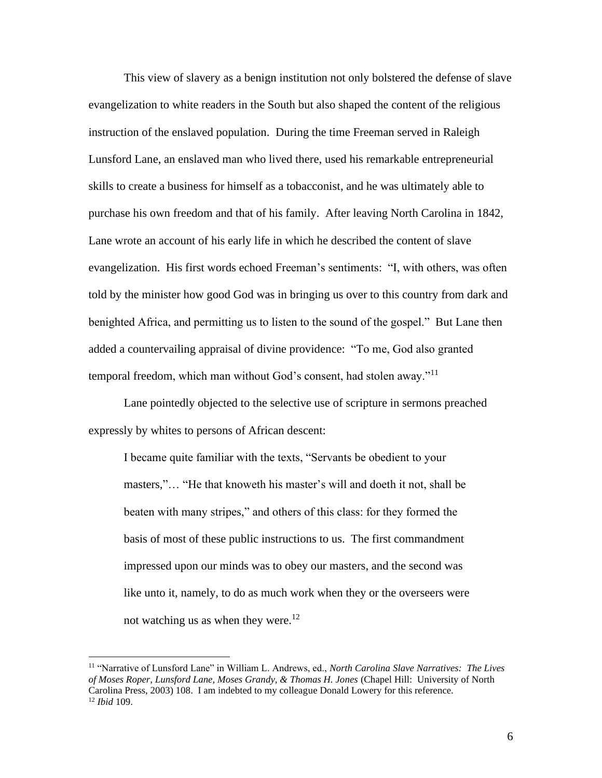This view of slavery as a benign institution not only bolstered the defense of slave evangelization to white readers in the South but also shaped the content of the religious instruction of the enslaved population. During the time Freeman served in Raleigh Lunsford Lane, an enslaved man who lived there, used his remarkable entrepreneurial skills to create a business for himself as a tobacconist, and he was ultimately able to purchase his own freedom and that of his family. After leaving North Carolina in 1842, Lane wrote an account of his early life in which he described the content of slave evangelization. His first words echoed Freeman's sentiments: "I, with others, was often told by the minister how good God was in bringing us over to this country from dark and benighted Africa, and permitting us to listen to the sound of the gospel." But Lane then added a countervailing appraisal of divine providence: "To me, God also granted temporal freedom, which man without God's consent, had stolen away."<sup>11</sup>

Lane pointedly objected to the selective use of scripture in sermons preached expressly by whites to persons of African descent:

I became quite familiar with the texts, "Servants be obedient to your masters,"… "He that knoweth his master's will and doeth it not, shall be beaten with many stripes," and others of this class: for they formed the basis of most of these public instructions to us. The first commandment impressed upon our minds was to obey our masters, and the second was like unto it, namely, to do as much work when they or the overseers were not watching us as when they were.<sup>12</sup>

<sup>11</sup> "Narrative of Lunsford Lane" in William L. Andrews, ed., *North Carolina Slave Narratives: The Lives of Moses Roper, Lunsford Lane, Moses Grandy, & Thomas H. Jones* (Chapel Hill: University of North Carolina Press, 2003) 108. I am indebted to my colleague Donald Lowery for this reference. <sup>12</sup> *Ibid* 109.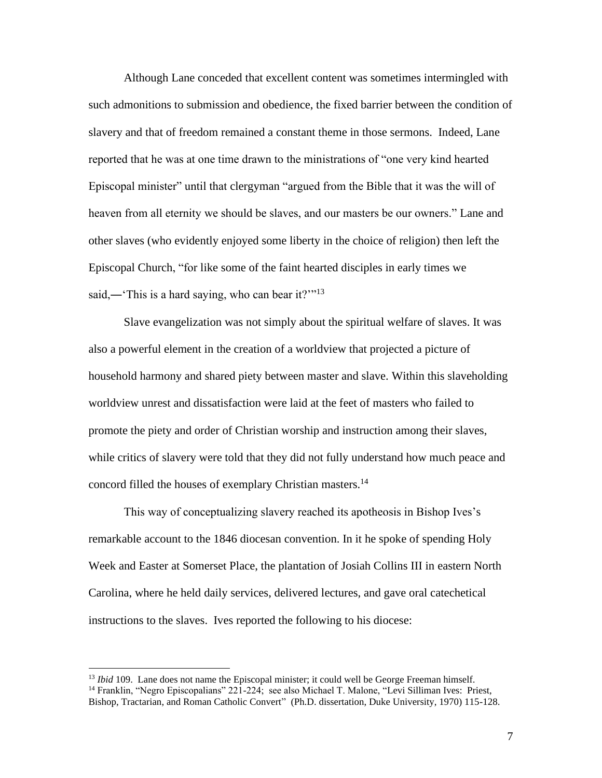Although Lane conceded that excellent content was sometimes intermingled with such admonitions to submission and obedience, the fixed barrier between the condition of slavery and that of freedom remained a constant theme in those sermons. Indeed, Lane reported that he was at one time drawn to the ministrations of "one very kind hearted Episcopal minister" until that clergyman "argued from the Bible that it was the will of heaven from all eternity we should be slaves, and our masters be our owners." Lane and other slaves (who evidently enjoyed some liberty in the choice of religion) then left the Episcopal Church, "for like some of the faint hearted disciples in early times we said,—'This is a hard saying, who can bear it?'"<sup>13</sup>

Slave evangelization was not simply about the spiritual welfare of slaves. It was also a powerful element in the creation of a worldview that projected a picture of household harmony and shared piety between master and slave. Within this slaveholding worldview unrest and dissatisfaction were laid at the feet of masters who failed to promote the piety and order of Christian worship and instruction among their slaves, while critics of slavery were told that they did not fully understand how much peace and concord filled the houses of exemplary Christian masters.<sup>14</sup>

This way of conceptualizing slavery reached its apotheosis in Bishop Ives's remarkable account to the 1846 diocesan convention. In it he spoke of spending Holy Week and Easter at Somerset Place, the plantation of Josiah Collins III in eastern North Carolina, where he held daily services, delivered lectures, and gave oral catechetical instructions to the slaves. Ives reported the following to his diocese:

<sup>13</sup> *Ibid* 109. Lane does not name the Episcopal minister; it could well be George Freeman himself.

<sup>14</sup> Franklin, "Negro Episcopalians" 221-224; see also Michael T. Malone, "Levi Silliman Ives: Priest, Bishop, Tractarian, and Roman Catholic Convert"(Ph.D. dissertation, Duke University, 1970) 115-128.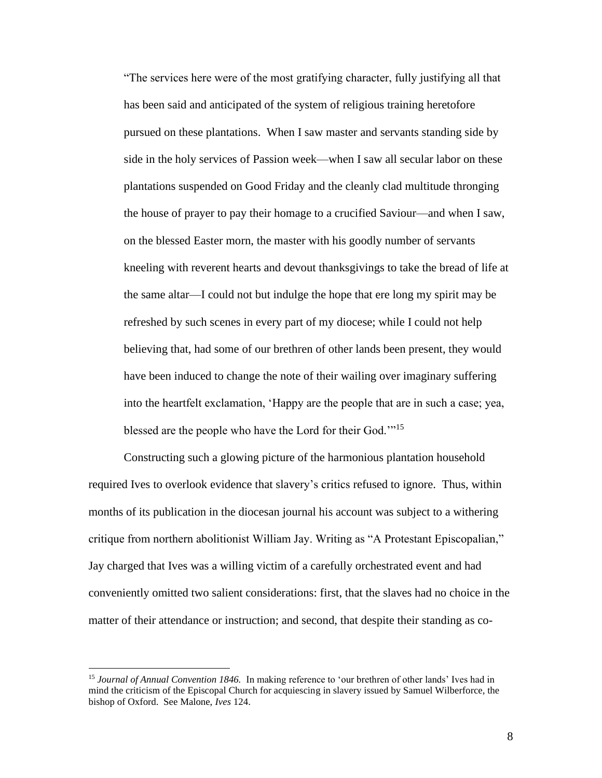"The services here were of the most gratifying character, fully justifying all that has been said and anticipated of the system of religious training heretofore pursued on these plantations. When I saw master and servants standing side by side in the holy services of Passion week—when I saw all secular labor on these plantations suspended on Good Friday and the cleanly clad multitude thronging the house of prayer to pay their homage to a crucified Saviour—and when I saw, on the blessed Easter morn, the master with his goodly number of servants kneeling with reverent hearts and devout thanksgivings to take the bread of life at the same altar—I could not but indulge the hope that ere long my spirit may be refreshed by such scenes in every part of my diocese; while I could not help believing that, had some of our brethren of other lands been present, they would have been induced to change the note of their wailing over imaginary suffering into the heartfelt exclamation, 'Happy are the people that are in such a case; yea, blessed are the people who have the Lord for their God."<sup>15</sup>

Constructing such a glowing picture of the harmonious plantation household required Ives to overlook evidence that slavery's critics refused to ignore. Thus, within months of its publication in the diocesan journal his account was subject to a withering critique from northern abolitionist William Jay. Writing as "A Protestant Episcopalian," Jay charged that Ives was a willing victim of a carefully orchestrated event and had conveniently omitted two salient considerations: first, that the slaves had no choice in the matter of their attendance or instruction; and second, that despite their standing as co-

<sup>15</sup> *Journal of Annual Convention 1846.* In making reference to 'our brethren of other lands' Ives had in mind the criticism of the Episcopal Church for acquiescing in slavery issued by Samuel Wilberforce, the bishop of Oxford. See Malone, *Ives* 124.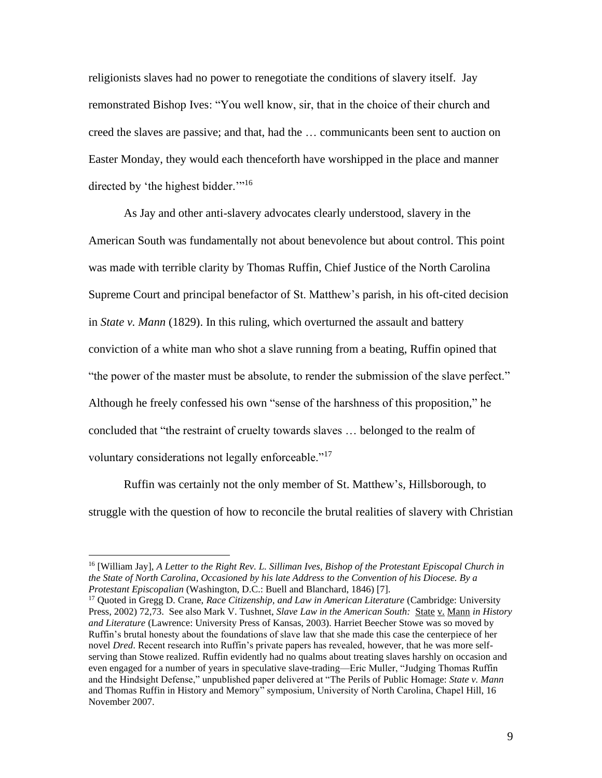religionists slaves had no power to renegotiate the conditions of slavery itself. Jay remonstrated Bishop Ives: "You well know, sir, that in the choice of their church and creed the slaves are passive; and that, had the … communicants been sent to auction on Easter Monday, they would each thenceforth have worshipped in the place and manner directed by 'the highest bidder."<sup>16</sup>

As Jay and other anti-slavery advocates clearly understood, slavery in the American South was fundamentally not about benevolence but about control. This point was made with terrible clarity by Thomas Ruffin, Chief Justice of the North Carolina Supreme Court and principal benefactor of St. Matthew's parish, in his oft-cited decision in *State v. Mann* (1829). In this ruling, which overturned the assault and battery conviction of a white man who shot a slave running from a beating, Ruffin opined that "the power of the master must be absolute, to render the submission of the slave perfect." Although he freely confessed his own "sense of the harshness of this proposition," he concluded that "the restraint of cruelty towards slaves … belonged to the realm of voluntary considerations not legally enforceable."<sup>17</sup>

Ruffin was certainly not the only member of St. Matthew's, Hillsborough, to struggle with the question of how to reconcile the brutal realities of slavery with Christian

<sup>16</sup> [William Jay], *A Letter to the Right Rev. L. Silliman Ives, Bishop of the Protestant Episcopal Church in the State of North Carolina, Occasioned by his late Address to the Convention of his Diocese. By a Protestant Episcopalian* (Washington, D.C.: Buell and Blanchard, 1846) [7].

<sup>&</sup>lt;sup>17</sup> Quoted in Gregg D. Crane, *Race Citizenship, and Law in American Literature* (Cambridge: University Press, 2002) 72,73. See also Mark V. Tushnet, *Slave Law in the American South:* State v. Mann *in History and Literature* (Lawrence: University Press of Kansas, 2003). Harriet Beecher Stowe was so moved by Ruffin's brutal honesty about the foundations of slave law that she made this case the centerpiece of her novel *Dred*. Recent research into Ruffin's private papers has revealed, however, that he was more selfserving than Stowe realized. Ruffin evidently had no qualms about treating slaves harshly on occasion and even engaged for a number of years in speculative slave-trading—Eric Muller, "Judging Thomas Ruffin and the Hindsight Defense," unpublished paper delivered at "The Perils of Public Homage: *State v. Mann* and Thomas Ruffin in History and Memory" symposium, University of North Carolina, Chapel Hill, 16 November 2007.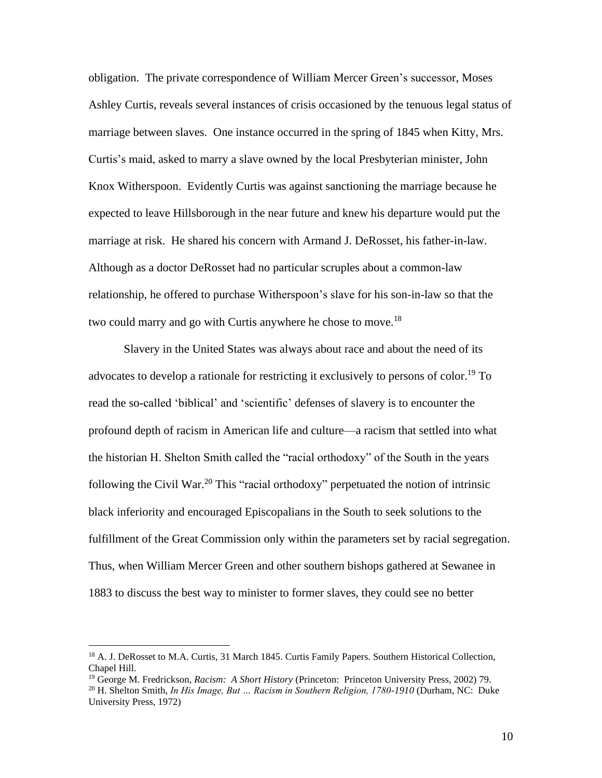obligation. The private correspondence of William Mercer Green's successor, Moses Ashley Curtis, reveals several instances of crisis occasioned by the tenuous legal status of marriage between slaves. One instance occurred in the spring of 1845 when Kitty, Mrs. Curtis's maid, asked to marry a slave owned by the local Presbyterian minister, John Knox Witherspoon. Evidently Curtis was against sanctioning the marriage because he expected to leave Hillsborough in the near future and knew his departure would put the marriage at risk. He shared his concern with Armand J. DeRosset, his father-in-law. Although as a doctor DeRosset had no particular scruples about a common-law relationship, he offered to purchase Witherspoon's slave for his son-in-law so that the two could marry and go with Curtis anywhere he chose to move.<sup>18</sup>

Slavery in the United States was always about race and about the need of its advocates to develop a rationale for restricting it exclusively to persons of color.<sup>19</sup> To read the so-called 'biblical' and 'scientific' defenses of slavery is to encounter the profound depth of racism in American life and culture—a racism that settled into what the historian H. Shelton Smith called the "racial orthodoxy" of the South in the years following the Civil War.<sup>20</sup> This "racial orthodoxy" perpetuated the notion of intrinsic black inferiority and encouraged Episcopalians in the South to seek solutions to the fulfillment of the Great Commission only within the parameters set by racial segregation. Thus, when William Mercer Green and other southern bishops gathered at Sewanee in 1883 to discuss the best way to minister to former slaves, they could see no better

<sup>&</sup>lt;sup>18</sup> A. J. DeRosset to M.A. Curtis, 31 March 1845. Curtis Family Papers. Southern Historical Collection, Chapel Hill.

<sup>19</sup> George M. Fredrickson, *Racism: A Short History* (Princeton: Princeton University Press, 2002) 79.

<sup>&</sup>lt;sup>20</sup> H. Shelton Smith, *In His Image, But ... Racism in Southern Religion, 1780-1910* (Durham, NC: Duke University Press, 1972)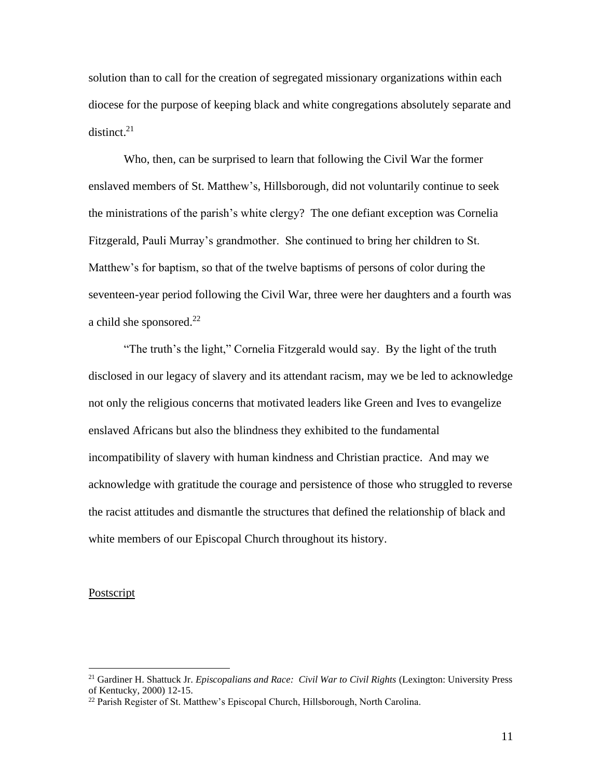solution than to call for the creation of segregated missionary organizations within each diocese for the purpose of keeping black and white congregations absolutely separate and distinct. $21$ 

Who, then, can be surprised to learn that following the Civil War the former enslaved members of St. Matthew's, Hillsborough, did not voluntarily continue to seek the ministrations of the parish's white clergy? The one defiant exception was Cornelia Fitzgerald, Pauli Murray's grandmother. She continued to bring her children to St. Matthew's for baptism, so that of the twelve baptisms of persons of color during the seventeen-year period following the Civil War, three were her daughters and a fourth was a child she sponsored. $^{22}$ 

"The truth's the light," Cornelia Fitzgerald would say. By the light of the truth disclosed in our legacy of slavery and its attendant racism, may we be led to acknowledge not only the religious concerns that motivated leaders like Green and Ives to evangelize enslaved Africans but also the blindness they exhibited to the fundamental incompatibility of slavery with human kindness and Christian practice. And may we acknowledge with gratitude the courage and persistence of those who struggled to reverse the racist attitudes and dismantle the structures that defined the relationship of black and white members of our Episcopal Church throughout its history.

## Postscript

<sup>21</sup> Gardiner H. Shattuck Jr. *Episcopalians and Race: Civil War to Civil Rights* (Lexington: University Press of Kentucky, 2000) 12-15.

<sup>&</sup>lt;sup>22</sup> Parish Register of St. Matthew's Episcopal Church, Hillsborough, North Carolina.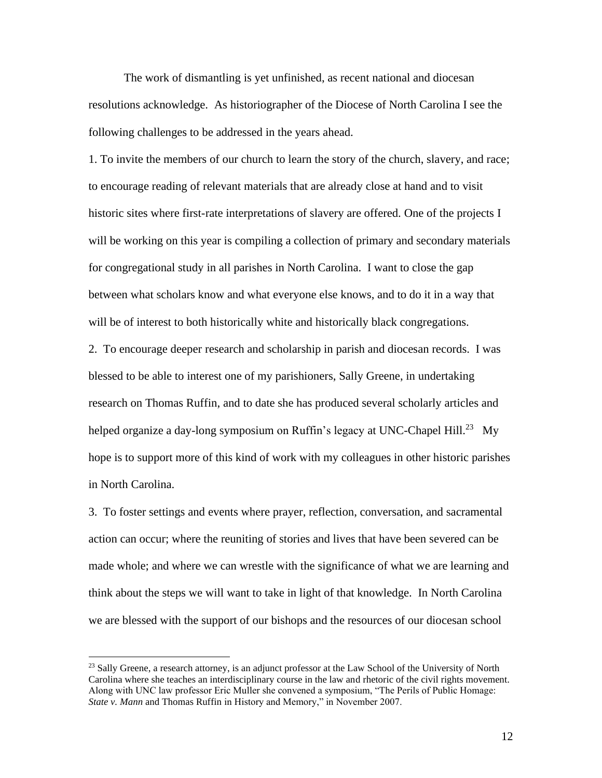The work of dismantling is yet unfinished, as recent national and diocesan resolutions acknowledge. As historiographer of the Diocese of North Carolina I see the following challenges to be addressed in the years ahead.

1. To invite the members of our church to learn the story of the church, slavery, and race; to encourage reading of relevant materials that are already close at hand and to visit historic sites where first-rate interpretations of slavery are offered. One of the projects I will be working on this year is compiling a collection of primary and secondary materials for congregational study in all parishes in North Carolina. I want to close the gap between what scholars know and what everyone else knows, and to do it in a way that will be of interest to both historically white and historically black congregations.

2. To encourage deeper research and scholarship in parish and diocesan records. I was blessed to be able to interest one of my parishioners, Sally Greene, in undertaking research on Thomas Ruffin, and to date she has produced several scholarly articles and helped organize a day-long symposium on Ruffin's legacy at UNC-Chapel Hill.<sup>23</sup> My hope is to support more of this kind of work with my colleagues in other historic parishes in North Carolina.

3. To foster settings and events where prayer, reflection, conversation, and sacramental action can occur; where the reuniting of stories and lives that have been severed can be made whole; and where we can wrestle with the significance of what we are learning and think about the steps we will want to take in light of that knowledge. In North Carolina we are blessed with the support of our bishops and the resources of our diocesan school

 $^{23}$  Sally Greene, a research attorney, is an adjunct professor at the Law School of the University of North Carolina where she teaches an interdisciplinary course in the law and rhetoric of the civil rights movement. Along with UNC law professor Eric Muller she convened a symposium, "The Perils of Public Homage: *State v. Mann* and Thomas Ruffin in History and Memory," in November 2007.